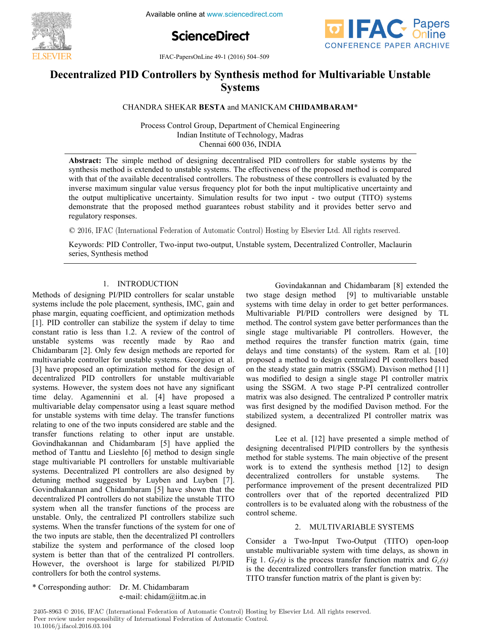

**ScienceDirect**



**EVIER** IFAC-PapersOnLine 49-1 (2016) 504-509

#### **Decentralized PID Controllers by Synthesis method for Multivariable Unstable Systems Systems Decentralized PID Controllers by Synthesis method for Multivariable Unstable Decentralized PID Controllers by Synthesis method for Multivariable Unstable Systems Systems**

### CHANDRA SHEKAR **BESTA** and MANICKAM **CHIDAMBARAM**\* CHANDRA SHEKAR **BESTA** and MANICKAM **CHIDAMBARAM**\* CHANDRA SHEKAR **BESTA** and MANICKAM **CHIDAMBARAM**\*

Process Control Group, Department of Chemical Engineering Indian Institute of Technology, Madras Chennai 600 036, INDIA

synthesis method is extended to unstable systems. The effectiveness of the proposed method is compared with that of the available decentralised controllers. The victorial set of these controllers is evaluated by the with that of the available decentralised controllers. The robustness of these controllers is evaluated by the<br>inverse maximum singular value versus frequency plot for both the input multiplicative uncertainty and the output multiplicative uncertainty. Simulation results for two input - two output (TITO) systems demonstrate that the proposed method guarantees robust stability and it provides better servo and regulatory responses. **Abstract:** The simple method of designing decentralised PID controllers for stable systems by the Chennai 600 os the output multiplicative uncertainty multiplicative uncertainty and it provides serve and demonstrate that the proposed method guarantees robust stability and it provides better servo and

regulatory responses.<br>© 2016, IFAC (International Federation of Automatic Control) Hosting by Elsevier Ltd. All rights reserved.  $\odot$  2016, IFAC (Intern

Keywords: PID Controller, Two-input two-output, Unstable system, Decentralized Controller, Maclaurin series, Synthesis method series, Synthesis method Keywords: PID Controller, Two-input two-output, Unstable system, Decentralized Controller, Maclaurin Keywords: PID Controller, Two-input two-output, Unstable system, Decentralized Controller, Maclaurin  $s<sub>z</sub>$ series, Synthesis method

# 1. INTRODUCTION

Methods of designing PI/PID controllers for scalar unstable systems include the pole placement, synthesis, IMC, gain and systems include the pole placement, symmesis, livic, gain and phase margin, equating coefficient, and optimization methods phase margin, equating coefficient, and optimization includes [1]. PID controller can stabilize the system if delay to time  $\mu_1$ . The controller can stabilize the system if delay to thine  $C$ <sub>unstable systems</sub> was recently made by Rao and  $C$ multivariable controller systems. Was recently made by Rao and Chidambaram [2]. Only few design methods are reported for emuamoaram [2]. Omy iew uesign memous are reported for<br>multivariable controller for unstable systems. Georgiou et al. multivariable controller for unstable systems. Georgion et al. [3] have proposed an optimization method for the design of grade proposed an optimization include for the design of decentralized PID controllers for unstable multivariable systems. However, the system does not have any significant systems. However, the system does not have any significant time delay. Agamennini et al. [4] have proposed a mine delay. Againemment of all [4] have proposed a<br>multivariable delay compensator using a least square method<br>for unstable systems with time delay. The transfer functions<br>relating to one of the two inputs considered are s munivariable delay compensator using a reast square memod<br>for unstable systems with time delay. The transfer functions relating to one of the two inputs considered are stable and the relating to one of the two inputs considered are stable and the traating to one of the two inputs considered are stable and the transfer functions relating to other input are unstable. Govindhakannan and Chidambaram [5] have applied the<br>method of Tanttu and Lieslehto [6] method to design single  $Sovianianian$  and Cindamodian  $[3]$  have applied the method of Tanttu and Lieslehto  $[6]$  method to design single method of Tantiu and Elestento [o] method to design single stage multivariable PI controllers for unstable multivariable sugge munivariable 11 controllers for anstable munivariable<br>systems. Decentralized PI controllers are also designed by systems. Detentianzed 11 controllers are also designed by  $\frac{d}{dx}$  decentralized by Euglish and Euglish  $\frac{d}{dx}$ . Govindhakannan and Chidambaram [5] have shown that the decentralized PI controllers do not stabilize the unstable TITO<br>system, when all the transfer functions of the process are system when all the transfer functions of the process are system when all the transfer functions of the process are unstable. Only, the centralized PI controllers stabilize such<br>systems. When the transfer functions of the system for one of anstable. Only, the centralized PI controllers stabilize such systems. When the transfer functions of the system for one of the two inputs are stable, then the decentralized PI controllers<br>stabilize the system and performance of the closed loop stabilize the system and performance of the closed loop stabilize the system and performance of the closed loop system is better than that of the centralized PI controllers.<br>However, the overshoot is large for stabilized PI/PID response, the overshoot is large for stabilized PI/PID<br>controllers for both the control systems. phase margin, equating coefficient, and optimization methods<br>[1]. PID controller can stabilize the system if delay to time<br>constant ratio is less than 1.2. A review of the control of<br>unstable systems was recently made by R Chidambaram [2]. Only few design methods are reported for<br>multivariable controller for unstable systems. Georgiou et al.<br>[3] have proposed an optimization method for the design of<br>decentralized PID controllers for unstable stage multivariable PI controllers for unstable multivariable<br>systems. Decentralized PI controllers are also designed by<br>detuning method suggested by Luyben and Luyben [7].<br>Govindhakannan and Chidambaram [5] have shown tha controllers for both the control systems. controllers for both the control systems. multivariable controller for unstable systems. Georgiou et al. Govindakannan and Chidambaram [8] extended the two stage design method [9] to multivariable unstable<br>systems with time delay in order to get better performances systems with time delay in order to get better performances. Multivariable PI/PID controllers were designed by TL method. The control system gave better performances than the single stage multivariable PI controllers. However, the method requires the transfer function matrix (gain, time delays and time constants) of the system. Ram et al. [10] proposed a method to design centralized PI controllers based on the steady state gain matrix (SSGM). Davison method [11] was modified to design a single stage PI controller matrix using the SSGM. A two stage P-PI centralized controller matrix was also designed. The centralized P controller matrix was first designed by the modified Davison method. For the<br>stabilized system a decentralized PI controller matrix was was inst uesigned by the modified Davison include. For the<br>stabilized system, a decentralized PI controller matrix was designed. designed.  $\mathcal{L}_{\mathcal{A}}$  have presented a simple method of  $\mathcal{A}$  simple method of  $\mathcal{A}$ stabilized system, a decentralized PI controller matrix was stabilized system, a decentralized PI controller matrix was designed.

Lee et al. [12] have presented a simple method of designing decentralised PI/PID controllers by the synthesis<br>method for stable systems. The main objective of the present wesigning decentralised 177 B controllers by the synthesis method for stable systems. The main objective of the present method for stable systems. The main objective of the present work is to extend the synthesis method  $[12]$  to design decentralized controllers for unstable systems. The<br>nerformance improvement of the present decentralized PID performance improvement of the present decentralized PID performance improvement of the present decentralized PID controllers over that of the reported decentralized PID controllers is to be evaluated along with the robustness of the<br>control scheme control scheme. 2. MULTIVARIABLE SYSTEMS control scheme. control scheme.

# 2. MULTIVARIABLE SYSTEMS

2. MULTIVARIABLE SYSTEMS<br>Consider a Two-Input Two-Output (TITO) open-loop consider a 1 wo-mpu 1 wo-cuput (1110) open-loop<br>unstable multivariable system with time delays, as shown in<br>Eig 1  $G_2(s)$  is the process transfer function matrix and  $G(s)$ Fig 1.  $G_P(s)$  is the process transfer function matrix and  $G_c(s)$  $\Gamma$  is the process transfer function matrix and  $\sigma_c(s)$  is the decentralized controllers transfer function matrix. The for the decentralized controllers transfer function matrix. The TITO transfer function matrix of the plant is given by:  $T_{\text{max}}$  function matrix of the plant is given by: Consider a Two-Input Two-Output (TITO) open-loop

\* Corresponding author: Dr. M. Chidambaram e-mail: chidam@iitm.ac.in<br>e-mail: chidam@iitm.ac.in  $\sum_{i=1}^{n}$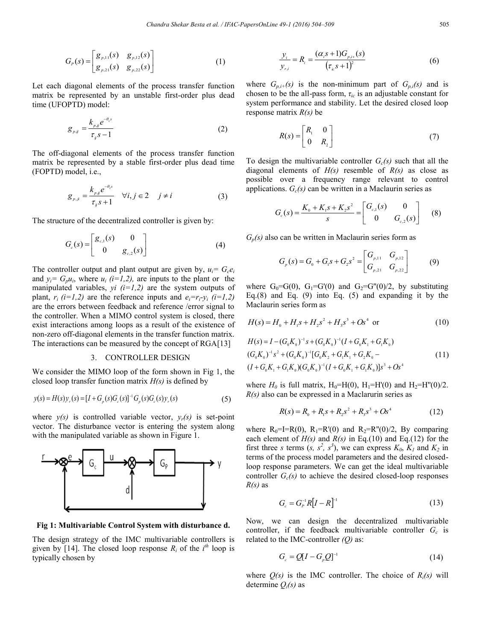$$
G_p(s) = \begin{bmatrix} g_{p,11}(s) & g_{p,12}(s) \\ g_{p,21}(s) & g_{p,22}(s) \end{bmatrix}
$$
 (1)

Let each diagonal elements of the process transfer function matrix be represented by an unstable first-order plus dead time (UFOPTD) model:

$$
g_{p,j} = \frac{k_{p,j} e^{-\theta_{p}s}}{\tau_{j} s - 1}
$$
 (2)

The off-diagonal elements of the process transfer function matrix be represented by a stable first-order plus dead time (FOPTD) model, i.e.,

$$
g_{p,i} = \frac{k_{p,j}e^{-\theta_{q}s}}{\tau_{q}s+1} \quad \forall i, j \in \mathcal{Z} \quad j \neq i \tag{3}
$$

The structure of the decentralized controller is given by:

$$
G_c(s) = \begin{bmatrix} g_{c,1}(s) & 0 \\ 0 & g_{c,2}(s) \end{bmatrix}
$$
 (4)

The controller output and plant output are given by,  $u_i = G_c e_i$ and  $y_i = G_p u_i$ , where  $u_i$  (*i*=1,2), are inputs to the plant or the manipulated variables,  $yi$   $(i=1,2)$  are the system outputs of plant,  $r_i$  (*i*=1,2) are the reference inputs and  $e_i = r_i - y_i$  (*i*=1,2) are the errors between feedback and reference /error signal to the controller. When a MIMO control system is closed, there exist interactions among loops as a result of the existence of non-zero off-diagonal elements in the transfer function matrix. The interactions can be measured by the concept of RGA[13]

### 3. CONTROLLER DESIGN

We consider the MIMO loop of the form shown in Fig 1, the closed loop transfer function matrix *H(s)* is defined by

$$
y(s) = H(s)y_r(s) = [I + G_p(s)G_c(s)]^{-1}G_p(s)G_c(s)y_r(s)
$$
\n(5)

where  $y(s)$  is controlled variable vector,  $y_r(s)$  is set-point vector. The disturbance vector is entering the system along with the manipulated variable as shown in Figure 1.



**Fig 1: Multivariable Control System with disturbance d.**

The design strategy of the IMC multivariable controllers is given by [14]. The closed loop response  $R_i$  of the  $i<sup>th</sup>$  loop is typically chosen by

$$
\frac{y_i}{y_{r,i}} = R_i = \frac{(\alpha_i s + 1)G_{p,i+}(s)}{(\tau_s s + 1)^2}
$$
(6)

where  $G_{p,i+}(s)$  is the non-minimum part of  $G_{p,i}(s)$  and is chosen to be the all-pass form,  $\tau_{ic}$  is an adjustable constant for system performance and stability. Let the desired closed loop response matrix *R(s)* be

$$
R(s) = \begin{bmatrix} R_1 & 0 \\ 0 & R_2 \end{bmatrix}
$$
 (7)

To design the multivariable controller  $G_c(s)$  such that all the diagonal elements of *H(s)* resemble of *R(s)* as close as possible over a frequency range relevant to control applications.  $G_c(s)$  can be written in a Maclaurin series as

$$
G_c(s) = \frac{K_0 + K_1 s + K_2 s^2}{s} = \begin{bmatrix} G_{c,1}(s) & 0 \\ 0 & G_{c,2}(s) \end{bmatrix}
$$
 (8)

 $G_p(s)$  also can be written in Maclaurin series form as

$$
G_p(s) = G_0 + G_1 s + G_2 s^2 = \begin{bmatrix} G_{p,11} & G_{p,12} \\ G_{p,21} & G_{p,22} \end{bmatrix}
$$
 (9)

where  $G_0 = G(0)$ ,  $G_1 = G'(0)$  and  $G_2 = G''(0)/2$ , by substituting Eq.(8) and Eq. (9) into Eq. (5) and expanding it by the Maclaurin series form as

$$
H(s) = H_0 + H_1 s + H_2 s^2 + H_3 s^3 + Os^4 \text{ or } (10)
$$

$$
H(s) = I - (G_0 K_0)^{-1} s + (G_0 K_0)^{-1} (I + G_0 K_1 + G_1 K_0)
$$
  
\n
$$
(G_0 K_0)^{-1} s^2 + (G_0 K_0)^{-1} [G_0 K_2 + G_1 K_1 + G_2 K_0 - (11)
$$
  
\n
$$
(I + G_0 K_1 + G_1 K_0) (G_0 K_0)^{-1} (I + G_0 K_1 + G_1 K_0) ]s^3 + Os^4
$$

where  $H_0$  is full matrix,  $H_0=H(0)$ ,  $H_1=H'(0)$  and  $H_2=H''(0)/2$ . *R(s)* also can be expressed in a Maclarurin series as

$$
R(s) = R_0 + R_1 s + R_2 s^2 + R_3 s^3 + Os^4
$$
 (12)

where  $R_0=I=R(0)$ ,  $R_1=R'(0)$  and  $R_2=R''(0)/2$ , By comparing each element of  $H(s)$  and  $R(s)$  in Eq.(10) and Eq.(12) for the first three *s* terms  $(s, s^2, s^3)$ , we can express  $K_0, K_1$  and  $K_2$  in terms of the process model parameters and the desired closedloop response parameters. We can get the ideal multivariable controller  $G_c(s)$  to achieve the desired closed-loop responses *R(s)* as

$$
G_c = G_P^{-1} R \left[ I - R \right]^{-1} \tag{13}
$$

Now, we can design the decentralized multivariable controller, if the feedback multivariable controller  $G_c$  is related to the IMC-controller *(Q)* as:

$$
G_c = Q[I - G_p Q]^{-1}
$$
\n
$$
(14)
$$

where  $Q(s)$  is the IMC controller. The choice of  $R_i(s)$  will determine *Qi(s)* as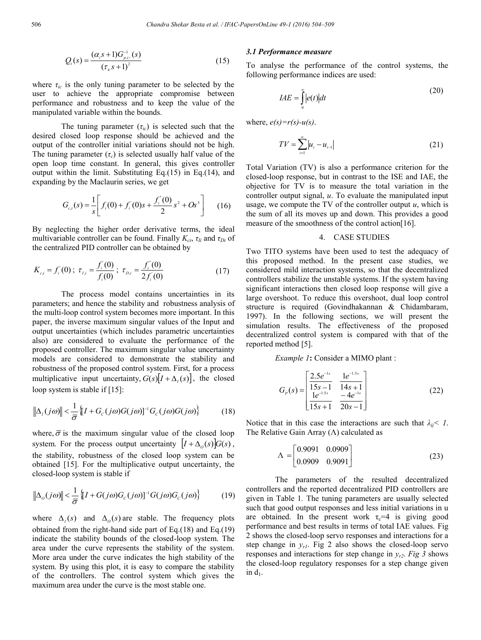$$
Q_i(s) = \frac{(\alpha_i s + 1)G_{p,i-}^{-1}(s)}{(r_{i} s + 1)^2}
$$
\n(15)

where  $\tau_{ic}$  is the only tuning parameter to be selected by the user to achieve the appropriate compromise between performance and robustness and to keep the value of the manipulated variable within the bounds.

The tuning parameter  $(\tau_{ic})$  is selected such that the desired closed loop response should be achieved and the output of the controller initial variations should not be high. The tuning parameter  $(\tau_c)$  is selected usually half value of the open loop time constant. In general, this gives controller output within the limit. Substituting Eq.(15) in Eq.(14), and expanding by the Maclaurin series, we get

$$
G_{c,i}(s) = \frac{1}{s} \left[ f_i(0) + f_i(0)s + \frac{f_i^*(0)}{2} s^2 + Os^3 \right]
$$
 (16)

By neglecting the higher order derivative terms, the ideal multivariable controller can be found. Finally  $K_{ci}$ ,  $\tau_{li}$  and  $\tau_{Di}$  of the centralized PID controller can be obtained by

$$
K_{c,i} = f_i(0); \ \tau_{I,i} = \frac{f_i(0)}{f_i(0)}; \ \tau_{D,i} = \frac{f_i(0)}{2f_i(0)} \tag{17}
$$

The process model contains uncertainties in its parameters; and hence the stability and robustness analysis of the multi-loop control system becomes more important. In this paper, the inverse maximum singular values of the Input and output uncertainties (which includes parametric uncertainties also) are considered to evaluate the performance of the proposed controller. The maximum singular value uncertainty models are considered to demonstrate the stability and robustness of the proposed control system. First, for a process multiplicative input uncertainty,  $G(s)[I + \Delta_{I}(s)]$ , the closed loop system is stable if [15]:

$$
\left\|\Delta_{I}(j\omega)\right\| < \frac{1}{\overline{\sigma}}\left\{I + G_{c}(j\omega)G(j\omega)\right\}^{-1}G_{c}(j\omega)G(j\omega)\right\}
$$
(18)

where,  $\overline{\sigma}$  is the maximum singular value of the closed loop system. For the process output uncertainty  $|I + \Delta_o(s)|G(s)$ , the stability, robustness of the closed loop system can be obtained [15]. For the multiplicative output uncertainty, the closed-loop system is stable if

$$
\left\|\Delta_o(j\omega)\right\| < \frac{1}{\overline{\sigma}} \left\{ [I + G(j\omega)G_c(j\omega)]^{-1} G(j\omega)G_c(j\omega) \right\} \tag{19}
$$

where  $\Delta_i(s)$  and  $\Delta_o(s)$  are stable. The frequency plots obtained from the right-hand side part of Eq.(18) and Eq.(19) indicate the stability bounds of the closed-loop system. The area under the curve represents the stability of the system. More area under the curve indicates the high stability of the system. By using this plot, it is easy to compare the stability of the controllers. The control system which gives the maximum area under the curve is the most stable one.

#### *3.1 Performance measure*

To analyse the performance of the control systems, the following performance indices are used:

$$
IAE = \int_{0}^{\infty} |e(t)| dt
$$
 (20)

where,  $e(s)=r(s)-u(s)$ .

$$
TV = \sum_{i=1}^{\infty} |u_i - u_{i-1}|
$$
 (21)

Total Variation (TV) is also a performance criterion for the closed-loop response, but in contrast to the ISE and IAE, the objective for TV is to measure the total variation in the controller output signal, *u*. To evaluate the manipulated input usage, we compute the TV of the controller output *u*, which is the sum of all its moves up and down. This provides a good measure of the smoothness of the control action[16].

#### 4. CASE STUDIES

Two TITO systems have been used to test the adequacy of this proposed method. In the present case studies, we considered mild interaction systems, so that the decentralized controllers stabilize the unstable systems. If the system having significant interactions then closed loop response will give a large overshoot. To reduce this overshoot, dual loop control structure is required (Govindhakannan & Chidambaram, 1997). In the following sections, we will present the simulation results. The effectiveness of the proposed decentralized control system is compared with that of the reported method [5].

### *Example 1*: Consider a MIMO plant :

$$
G_{P}(s) = \begin{bmatrix} \frac{2.5e^{-1s}}{15s - 1} & \frac{1e^{-1.5s}}{14s + 1} \\ \frac{1e^{-1.5s}}{15s + 1} & \frac{-4e^{-1s}}{20s - 1} \end{bmatrix}
$$
(22)

Notice that in this case the interactions are such that  $\lambda_{ii} < 1$ . The Relative Gain Array  $(\Lambda)$  calculated as

$$
\Lambda = \begin{bmatrix} 0.9091 & 0.0909 \\ 0.0909 & 0.9091 \end{bmatrix}
$$
 (23)

The parameters of the resulted decentralized controllers and the reported decentralized PID controllers are given in Table 1*.* The tuning parameters are usually selected such that good output responses and less initial variations in u are obtained. In the present work  $\tau_c$ =4 is giving good performance and best results in terms of total IAE values. Fig 2 shows the closed-loop servo responses and interactions for a step change in  $y_{rl}$ . Fig 2 also shows the closed-loop servo responses and interactions for step change in  $y_{r2}$ . *Fig 3* shows the closed-loop regulatory responses for a step change given in  $d_1$ .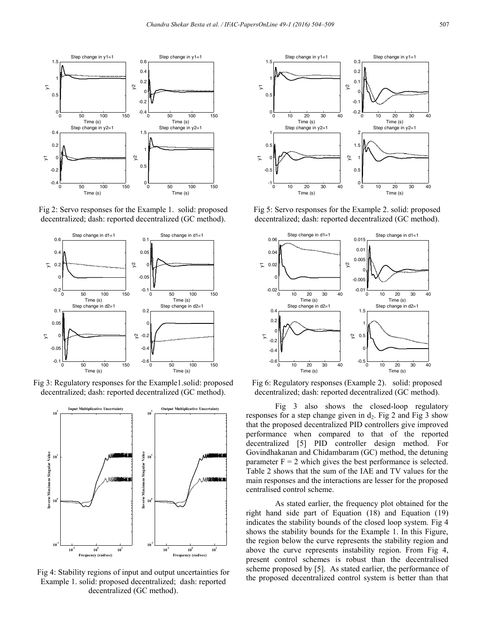

Fig 2: Servo responses for the Example 1. solid: proposed decentralized; dash: reported decentralized (GC method).



Fig 3: Regulatory responses for the Example1.solid: proposed decentralized; dash: reported decentralized (GC method).



Fig 4: Stability regions of input and output uncertainties for Example 1. solid: proposed decentralized; dash: reported decentralized (GC method).



Fig 5: Servo responses for the Example 2. solid: proposed decentralized; dash: reported decentralized (GC method).



Fig 6: Regulatory responses (Example 2). solid: proposed decentralized; dash: reported decentralized (GC method).

Fig 3 also shows the closed-loop regulatory responses for a step change given in  $d_2$ . Fig 2 and Fig 3 show that the proposed decentralized PID controllers give improved performance when compared to that of the reported decentralized [5] PID controller design method. For Govindhakanan and Chidambaram (GC) method, the detuning parameter  $F = 2$  which gives the best performance is selected. Table 2 shows that the sum of the IAE and TV values for the main responses and the interactions are lesser for the proposed centralised control scheme.

As stated earlier, the frequency plot obtained for the right hand side part of Equation (18) and Equation (19) indicates the stability bounds of the closed loop system. Fig 4 shows the stability bounds for the Example 1. In this Figure, the region below the curve represents the stability region and above the curve represents instability region. From Fig 4, present control schemes is robust than the decentralised scheme proposed by [5]. As stated earlier, the performance of the proposed decentralized control system is better than that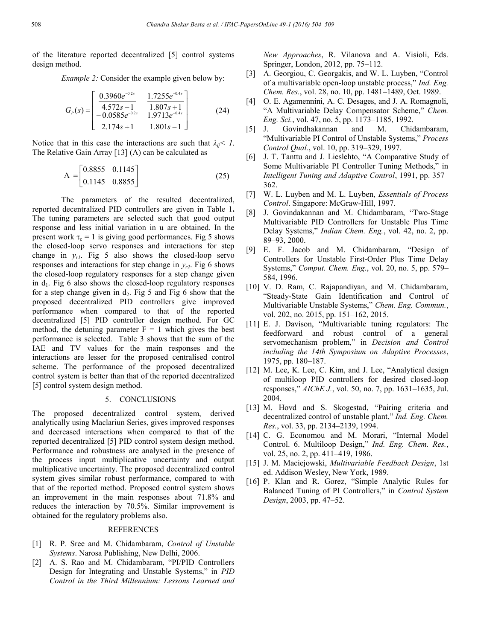of the literature reported decentralized [5] control systems design method.

*Example 2:* Consider the example given below by:

$$
G_{P}(s) = \begin{bmatrix} 0.3960e^{-0.2s} & 1.7255e^{-0.4s} \\ \frac{4.572s - 1}{-0.0585e^{-0.2s}} & \frac{1.807s + 1}{1.9713e^{-0.4s}} \\ \frac{-2.174s + 1}{-1.801s - 1} & 0.801s - 1 \end{bmatrix}
$$
(24)

Notice that in this case the interactions are such that  $\lambda_{ii} < 1$ . The Relative Gain Array [13]  $($  $\Lambda$  $)$  can be calculated as

$$
\Lambda = \begin{bmatrix} 0.8855 & 0.1145 \\ 0.1145 & 0.8855 \end{bmatrix}
$$
 (25)

The parameters of the resulted decentralized, reported decentralized PID controllers are given in Table 1**.** The tuning parameters are selected such that good output response and less initial variation in u are obtained. In the present work  $\tau_c = 1$  is giving good performances. Fig 5 shows the closed-loop servo responses and interactions for step change in  $v_{r1}$ . Fig 5 also shows the closed-loop servo responses and interactions for step change in  $y_{r2}$ . Fig 6 shows the closed-loop regulatory responses for a step change given in  $d_1$ . Fig 6 also shows the closed-loop regulatory responses for a step change given in  $d_2$ . Fig 5 and Fig 6 show that the proposed decentralized PID controllers give improved performance when compared to that of the reported decentralized [5] PID controller design method. For GC method, the detuning parameter  $F = 1$  which gives the best performance is selected. Table 3 shows that the sum of the IAE and TV values for the main responses and the interactions are lesser for the proposed centralised control scheme. The performance of the proposed decentralized control system is better than that of the reported decentralized [5] control system design method.

### 5. CONCLUSIONS

The proposed decentralized control system, derived analytically using Maclariun Series, gives improved responses and decreased interactions when compared to that of the reported decentralized [5] PID control system design method. Performance and robustness are analysed in the presence of the process input multiplicative uncertainty and output multiplicative uncertainty. The proposed decentralized control system gives similar robust performance, compared to with that of the reported method. Proposed control system shows an improvement in the main responses about 71.8% and reduces the interaction by 70.5%. Similar improvement is obtained for the regulatory problems also.

### REFERENCES

- [1] R. P. Sree and M. Chidambaram, *Control of Unstable Systems*. Narosa Publishing, New Delhi, 2006.
- [2] A. S. Rao and M. Chidambaram, "PI/PID Controllers Design for Integrating and Unstable Systems," in *PID Control in the Third Millennium: Lessons Learned and*

*New Approaches*, R. Vilanova and A. Visioli, Eds. Springer, London, 2012, pp. 75–112.

- [3] A. Georgiou, C. Georgakis, and W. L. Luyben, "Control of a multivariable open-loop unstable process," *Ind. Eng. Chem. Res.*, vol. 28, no. 10, pp. 1481–1489, Oct. 1989.
- [4] O. E. Agamennini, A. C. Desages, and J. A. Romagnoli, "A Multivariable Delay Compensator Scheme," *Chem. Eng. Sci.*, vol. 47, no. 5, pp. 1173–1185, 1992.
- [5] J. Govindhakannan and M. Chidambaram, "Multivariable PI Control of Unstable Systems," *Process Control Qual.*, vol. 10, pp. 319–329, 1997.
- [6] J. T. Tanttu and J. Lieslehto, "A Comparative Study of Some Multivariable PI Controller Tuning Methods," in *Intelligent Tuning and Adaptive Control*, 1991, pp. 357– 362.
- [7] W. L. Luyben and M. L. Luyben, *Essentials of Process Control*. Singapore: McGraw-Hill, 1997.
- [8] J. Govindakannan and M. Chidambaram, "Two-Stage Multivariable PID Controllers for Unstable Plus Time Delay Systems," *Indian Chem. Eng.*, vol. 42, no. 2, pp. 89–93, 2000.
- [9] E. F. Jacob and M. Chidambaram, "Design of Controllers for Unstable First-Order Plus Time Delay Systems," *Comput. Chem. Eng.*, vol. 20, no. 5, pp. 579– 584, 1996.
- [10] V. D. Ram, C. Rajapandiyan, and M. Chidambaram, "Steady-State Gain Identification and Control of Multivariable Unstable Systems," *Chem. Eng. Commun.*, vol. 202, no. 2015, pp. 151–162, 2015.
- [11] E. J. Davison, "Multivariable tuning regulators: The feedforward and robust control of a general servomechanism problem," in *Decision and Control including the 14th Symposium on Adaptive Processes*, 1975, pp. 180–187.
- [12] M. Lee, K. Lee, C. Kim, and J. Lee, "Analytical design of multiloop PID controllers for desired closed-loop responses," *AIChE J.*, vol. 50, no. 7, pp. 1631–1635, Jul. 2004.
- [13] M. Hovd and S. Skogestad, "Pairing criteria and decentralized control of unstable plant," *Ind. Eng. Chem. Res.*, vol. 33, pp. 2134–2139, 1994.
- [14] C. G. Economou and M. Morari, "Internal Model Control. 6. Multiloop Design," *Ind. Eng. Chem. Res.*, vol. 25, no. 2, pp. 411–419, 1986.
- [15] J. M. Maciejowski, *Multivariable Feedback Design*, 1st ed. Addison Wesley, New York, 1989.
- [16] P. Klan and R. Gorez, "Simple Analytic Rules for Balanced Tuning of PI Controllers," in *Control System Design*, 2003, pp. 47–52.